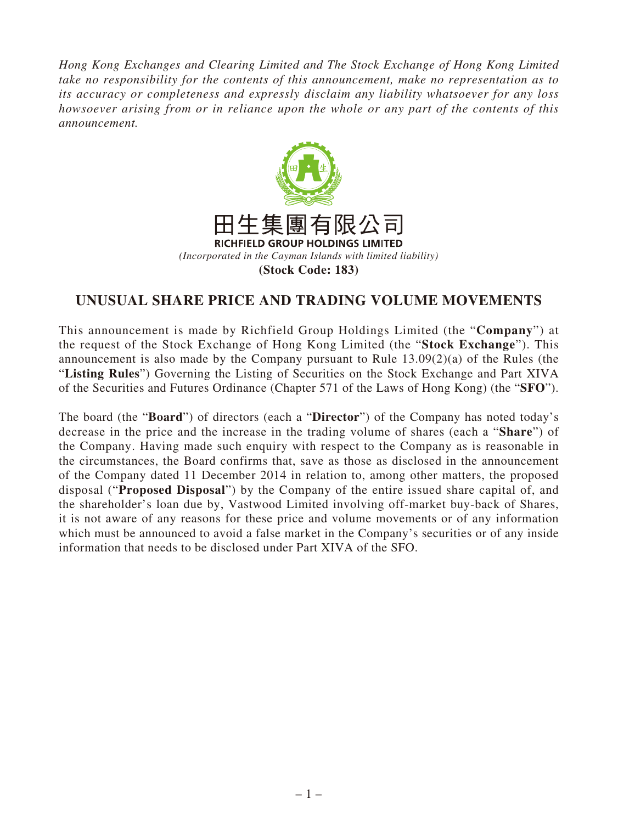*Hong Kong Exchanges and Clearing Limited and The Stock Exchange of Hong Kong Limited take no responsibility for the contents of this announcement, make no representation as to its accuracy or completeness and expressly disclaim any liability whatsoever for any loss howsoever arising from or in reliance upon the whole or any part of the contents of this announcement.*



## **UNUSUAL SHARE PRICE AND TRADING VOLUME MOVEMENTS**

This announcement is made by Richfield Group Holdings Limited (the "**Company**") at the request of the Stock Exchange of Hong Kong Limited (the "**Stock Exchange**"). This announcement is also made by the Company pursuant to Rule 13.09(2)(a) of the Rules (the "**Listing Rules**") Governing the Listing of Securities on the Stock Exchange and Part XIVA of the Securities and Futures Ordinance (Chapter 571 of the Laws of Hong Kong) (the "**SFO**").

The board (the "**Board**") of directors (each a "**Director**") of the Company has noted today's decrease in the price and the increase in the trading volume of shares (each a "**Share**") of the Company. Having made such enquiry with respect to the Company as is reasonable in the circumstances, the Board confirms that, save as those as disclosed in the announcement of the Company dated 11 December 2014 in relation to, among other matters, the proposed disposal ("**Proposed Disposal**") by the Company of the entire issued share capital of, and the shareholder's loan due by, Vastwood Limited involving off-market buy-back of Shares, it is not aware of any reasons for these price and volume movements or of any information which must be announced to avoid a false market in the Company's securities or of any inside information that needs to be disclosed under Part XIVA of the SFO.